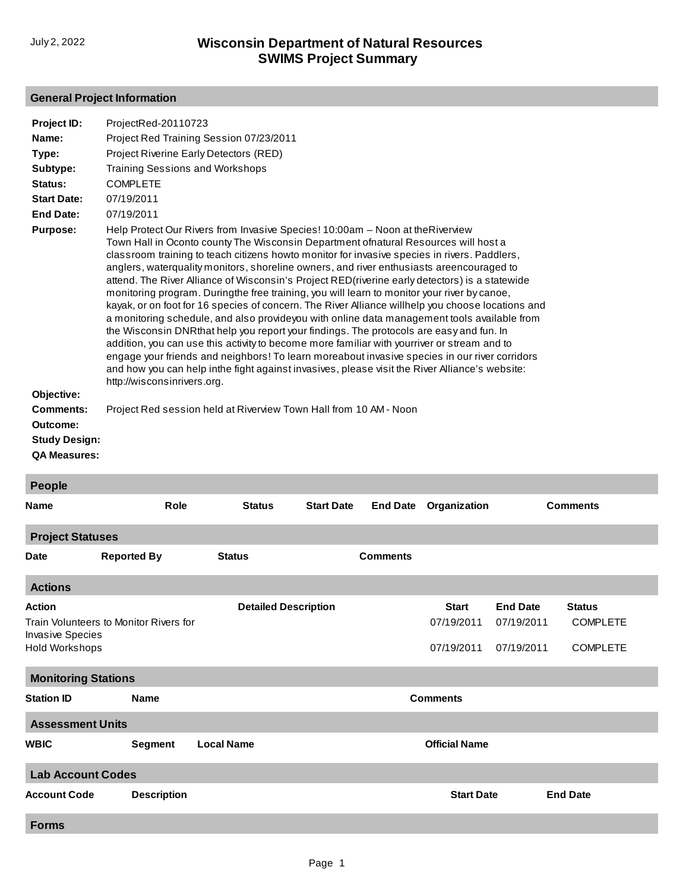## **General Project Information**

| Project ID:<br>Name:<br>Type:                                               | ProjectRed-20110723<br>Project Red Training Session 07/23/2011<br>Project Riverine Early Detectors (RED)                                                                                                                                                                                                                                                                                                                                                                                                                                                                                                                                                                                                                                                                                                                                                                                                                                                                                                                                                                                                                                                                                           |
|-----------------------------------------------------------------------------|----------------------------------------------------------------------------------------------------------------------------------------------------------------------------------------------------------------------------------------------------------------------------------------------------------------------------------------------------------------------------------------------------------------------------------------------------------------------------------------------------------------------------------------------------------------------------------------------------------------------------------------------------------------------------------------------------------------------------------------------------------------------------------------------------------------------------------------------------------------------------------------------------------------------------------------------------------------------------------------------------------------------------------------------------------------------------------------------------------------------------------------------------------------------------------------------------|
| Subtype:                                                                    | <b>Training Sessions and Workshops</b>                                                                                                                                                                                                                                                                                                                                                                                                                                                                                                                                                                                                                                                                                                                                                                                                                                                                                                                                                                                                                                                                                                                                                             |
| Status:                                                                     | <b>COMPLETE</b>                                                                                                                                                                                                                                                                                                                                                                                                                                                                                                                                                                                                                                                                                                                                                                                                                                                                                                                                                                                                                                                                                                                                                                                    |
| <b>Start Date:</b>                                                          | 07/19/2011                                                                                                                                                                                                                                                                                                                                                                                                                                                                                                                                                                                                                                                                                                                                                                                                                                                                                                                                                                                                                                                                                                                                                                                         |
| <b>End Date:</b>                                                            | 07/19/2011                                                                                                                                                                                                                                                                                                                                                                                                                                                                                                                                                                                                                                                                                                                                                                                                                                                                                                                                                                                                                                                                                                                                                                                         |
| <b>Purpose:</b>                                                             | Help Protect Our Rivers from Invasive Species! 10:00am – Noon at the Riverview<br>Town Hall in Oconto county The Wisconsin Department ofnatural Resources will host a<br>classroom training to teach citizens howto monitor for invasive species in rivers. Paddlers,<br>anglers, waterquality monitors, shoreline owners, and river enthusiasts areencouraged to<br>attend. The River Alliance of Wisconsin's Project RED(riverine early detectors) is a statewide<br>monitoring program. Duringthe free training, you will learn to monitor your river by canoe,<br>kayak, or on foot for 16 species of concern. The River Alliance willhelp you choose locations and<br>a monitoring schedule, and also provideyou with online data management tools available from<br>the Wisconsin DNRthat help you report your findings. The protocols are easy and fun. In<br>addition, you can use this activity to become more familiar with yourriver or stream and to<br>engage your friends and neighbors! To learn moreabout invasive species in our river corridors<br>and how you can help inthe fight against invasives, please visit the River Alliance's website:<br>http://wisconsinrivers.org. |
| Objective:                                                                  |                                                                                                                                                                                                                                                                                                                                                                                                                                                                                                                                                                                                                                                                                                                                                                                                                                                                                                                                                                                                                                                                                                                                                                                                    |
| <b>Comments:</b><br>Outcome:<br><b>Study Design:</b><br><b>QA Measures:</b> | Project Red session held at Riverview Town Hall from 10 AM - Noon                                                                                                                                                                                                                                                                                                                                                                                                                                                                                                                                                                                                                                                                                                                                                                                                                                                                                                                                                                                                                                                                                                                                  |
| <b>People</b>                                                               |                                                                                                                                                                                                                                                                                                                                                                                                                                                                                                                                                                                                                                                                                                                                                                                                                                                                                                                                                                                                                                                                                                                                                                                                    |

| <b>Name</b>                | Role                                   | <b>Status</b>               | <b>Start Date</b> | <b>End Date</b> | Organization         | <b>Comments</b> |                 |  |
|----------------------------|----------------------------------------|-----------------------------|-------------------|-----------------|----------------------|-----------------|-----------------|--|
| <b>Project Statuses</b>    |                                        |                             |                   |                 |                      |                 |                 |  |
| <b>Date</b>                | <b>Reported By</b>                     | <b>Status</b>               |                   | <b>Comments</b> |                      |                 |                 |  |
| <b>Actions</b>             |                                        |                             |                   |                 |                      |                 |                 |  |
| <b>Action</b>              |                                        | <b>Detailed Description</b> |                   |                 | <b>Start</b>         | <b>End Date</b> | <b>Status</b>   |  |
| <b>Invasive Species</b>    | Train Volunteers to Monitor Rivers for |                             |                   |                 | 07/19/2011           | 07/19/2011      | <b>COMPLETE</b> |  |
| Hold Workshops             |                                        |                             |                   |                 | 07/19/2011           | 07/19/2011      | <b>COMPLETE</b> |  |
| <b>Monitoring Stations</b> |                                        |                             |                   |                 |                      |                 |                 |  |
| <b>Station ID</b>          | <b>Name</b>                            |                             |                   |                 | <b>Comments</b>      |                 |                 |  |
| <b>Assessment Units</b>    |                                        |                             |                   |                 |                      |                 |                 |  |
| <b>WBIC</b>                | <b>Segment</b>                         | <b>Local Name</b>           |                   |                 | <b>Official Name</b> |                 |                 |  |
| <b>Lab Account Codes</b>   |                                        |                             |                   |                 |                      |                 |                 |  |
| <b>Account Code</b>        | <b>Description</b>                     |                             |                   |                 | <b>Start Date</b>    |                 | <b>End Date</b> |  |
| <b>Forms</b>               |                                        |                             |                   |                 |                      |                 |                 |  |